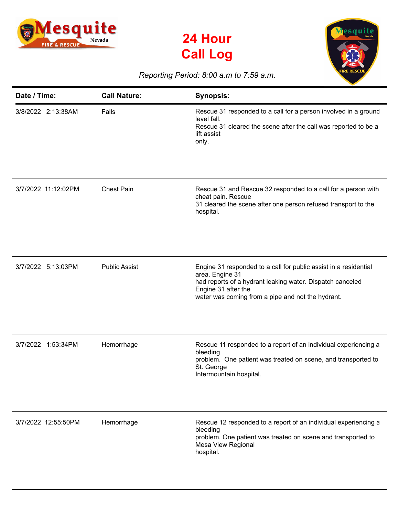





## *Reporting Period: 8:00 a.m to 7:59 a.m.*

| Date / Time:        | <b>Call Nature:</b>  | <b>Synopsis:</b>                                                                                                                                                                                                             |
|---------------------|----------------------|------------------------------------------------------------------------------------------------------------------------------------------------------------------------------------------------------------------------------|
| 3/8/2022 2:13:38AM  | Falls                | Rescue 31 responded to a call for a person involved in a ground<br>level fall.<br>Rescue 31 cleared the scene after the call was reported to be a<br>lift assist<br>only.                                                    |
| 3/7/2022 11:12:02PM | <b>Chest Pain</b>    | Rescue 31 and Rescue 32 responded to a call for a person with<br>cheat pain. Rescue<br>31 cleared the scene after one person refused transport to the<br>hospital.                                                           |
| 3/7/2022 5:13:03PM  | <b>Public Assist</b> | Engine 31 responded to a call for public assist in a residential<br>area. Engine 31<br>had reports of a hydrant leaking water. Dispatch canceled<br>Engine 31 after the<br>water was coming from a pipe and not the hydrant. |
| 3/7/2022 1:53:34PM  | Hemorrhage           | Rescue 11 responded to a report of an individual experiencing a<br>bleeding<br>problem. One patient was treated on scene, and transported to<br>St. George<br>Intermountain hospital.                                        |
| 3/7/2022 12:55:50PM | Hemorrhage           | Rescue 12 responded to a report of an individual experiencing a<br>bleeding<br>problem. One patient was treated on scene and transported to<br>Mesa View Regional<br>hospital.                                               |